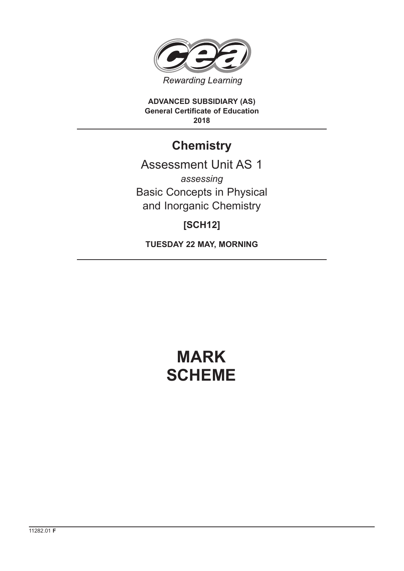

**ADVANCED SUBSIDIARY (AS) General Certificate of Education 2018**

## **Chemistry**

## Assessment Unit AS 1 *assessing* Basic Concepts in Physical and Inorganic Chemistry

### **[SCH12]**

**TUESDAY 22 MAY, MORNING**

# **MARK SCHEME**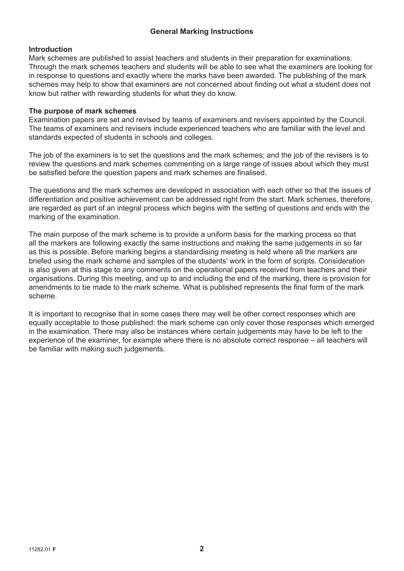#### **General Marking Instructions**

#### **Introduction**

Mark schemes are published to assist teachers and students in their preparation for examinations. Through the mark schemes teachers and students will be able to see what the examiners are looking for in response to questions and exactly where the marks have been awarded. The publishing of the mark schemes may help to show that examiners are not concerned about finding out what a student does not know but rather with rewarding students for what they do know.

#### **The purpose of mark schemes**

Examination papers are set and revised by teams of examiners and revisers appointed by the Council. The teams of examiners and revisers include experienced teachers who are familiar with the level and standards expected of students in schools and colleges.

The job of the examiners is to set the questions and the mark schemes; and the job of the revisers is to review the questions and mark schemes commenting on a large range of issues about which they must be satisfied before the question papers and mark schemes are finalised.

The questions and the mark schemes are developed in association with each other so that the issues of differentiation and positive achievement can be addressed right from the start. Mark schemes, therefore, are regarded as part of an integral process which begins with the setting of questions and ends with the marking of the examination.

The main purpose of the mark scheme is to provide a uniform basis for the marking process so that all the markers are following exactly the same instructions and making the same judgements in so far as this is possible. Before marking begins a standardising meeting is held where all the markers are briefed using the mark scheme and samples of the students' work in the form of scripts. Consideration is also given at this stage to any comments on the operational papers received from teachers and their organisations. During this meeting, and up to and including the end of the marking, there is provision for amendments to be made to the mark scheme. What is published represents the final form of the mark scheme.

It is important to recognise that in some cases there may well be other correct responses which are equally acceptable to those published: the mark scheme can only cover those responses which emerged in the examination. There may also be instances where certain judgements may have to be left to the experience of the examiner, for example where there is no absolute correct response – all teachers will be familiar with making such judgements.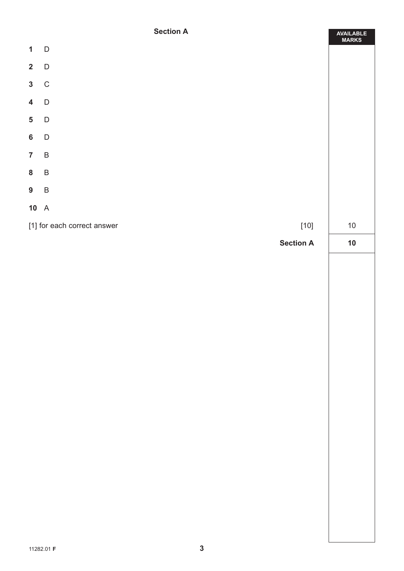#### **Section A**

ä

|                         | <b>SECTION H</b>                      | AVAILABLE<br>MARKS |
|-------------------------|---------------------------------------|--------------------|
| $\mathbf{1}$            | $\mathsf{D}$                          |                    |
| $\overline{\mathbf{2}}$ | $\mathsf D$                           |                    |
| $\mathbf{3}$            | $\mathsf C$                           |                    |
| $\overline{\mathbf{4}}$ | $\mathsf D$                           |                    |
| $\overline{\mathbf{5}}$ | $\mathsf D$                           |                    |
| $6\phantom{a}$          | $\mathsf D$                           |                    |
| $\overline{7}$          | $\, {\sf B}$                          |                    |
| ${\bf 8}$               | $\sf B$                               |                    |
| 9                       | $\sf B$                               |                    |
|                         | $10\quad A$                           |                    |
|                         | $[10]$<br>[1] for each correct answer | $10\,$             |
|                         | <b>Section A</b>                      | 10                 |
|                         |                                       |                    |
|                         |                                       |                    |
|                         |                                       |                    |
|                         |                                       |                    |
|                         |                                       |                    |
|                         |                                       |                    |
|                         |                                       |                    |
|                         |                                       |                    |
|                         |                                       |                    |
|                         |                                       |                    |
|                         |                                       |                    |
|                         |                                       |                    |
|                         |                                       |                    |
|                         |                                       |                    |
|                         |                                       |                    |
|                         |                                       |                    |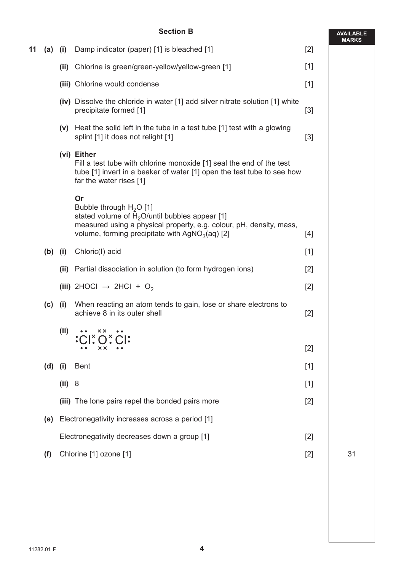#### **Section B**

|    |           |        |                                                                                                                                                                                                                 |       | <b>MAR</b> |
|----|-----------|--------|-----------------------------------------------------------------------------------------------------------------------------------------------------------------------------------------------------------------|-------|------------|
| 11 | (a)       | (i)    | Damp indicator (paper) [1] is bleached [1]                                                                                                                                                                      | $[2]$ |            |
|    |           | (ii)   | Chlorine is green/green-yellow/yellow-green [1]                                                                                                                                                                 | $[1]$ |            |
|    |           |        | (iii) Chlorine would condense                                                                                                                                                                                   | $[1]$ |            |
|    |           |        | (iv) Dissolve the chloride in water [1] add silver nitrate solution [1] white<br>precipitate formed [1]                                                                                                         | $[3]$ |            |
|    |           | (v)    | Heat the solid left in the tube in a test tube [1] test with a glowing<br>splint [1] it does not relight [1]                                                                                                    | $[3]$ |            |
|    |           |        | (vi) Either<br>Fill a test tube with chlorine monoxide [1] seal the end of the test<br>tube [1] invert in a beaker of water [1] open the test tube to see how<br>far the water rises [1]                        |       |            |
|    |           |        | Or<br>Bubble through $H_2O$ [1]<br>stated volume of $H_2O$ /until bubbles appear [1]<br>measured using a physical property, e.g. colour, pH, density, mass,<br>volume, forming precipitate with $AgNO3(aq)$ [2] | $[4]$ |            |
|    | $(b)$ (i) |        | Chloric(I) acid                                                                                                                                                                                                 | $[1]$ |            |
|    |           | (ii)   | Partial dissociation in solution (to form hydrogen ions)                                                                                                                                                        | $[2]$ |            |
|    |           |        | (iii) 2HOCl $\rightarrow$ 2HCl + O <sub>2</sub>                                                                                                                                                                 | $[2]$ |            |
|    | (c)       | (i)    | When reacting an atom tends to gain, lose or share electrons to<br>achieve 8 in its outer shell                                                                                                                 | $[2]$ |            |
|    |           | (ii)   | CI:O:CI:<br>XX.                                                                                                                                                                                                 | $[2]$ |            |
|    | $(d)$ (i) |        | <b>Bent</b>                                                                                                                                                                                                     | $[1]$ |            |
|    |           | (ii) 8 |                                                                                                                                                                                                                 | $[1]$ |            |
|    |           |        | (iii) The lone pairs repel the bonded pairs more                                                                                                                                                                | $[2]$ |            |
|    | (e)       |        | Electronegativity increases across a period [1]                                                                                                                                                                 |       |            |
|    |           |        | Electronegativity decreases down a group [1]                                                                                                                                                                    | $[2]$ |            |
|    | (f)       |        | Chlorine [1] ozone [1]                                                                                                                                                                                          | $[2]$ | 31         |
|    |           |        |                                                                                                                                                                                                                 |       |            |

**AVAILABLE MARKS**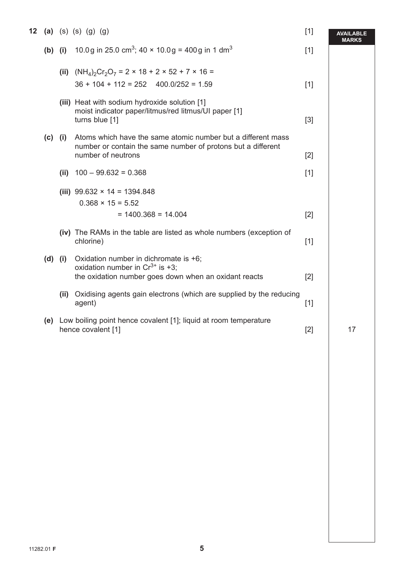| 12 |             | (a) (s) (s) (g) (g)                                                                                                                    | $[1]$ | <b>AVAILABLE</b><br><b>MARKS</b> |
|----|-------------|----------------------------------------------------------------------------------------------------------------------------------------|-------|----------------------------------|
|    | $(b)$ $(i)$ | 10.0g in 25.0 cm <sup>3</sup> ; 40 $\times$ 10.0g = 400g in 1 dm <sup>3</sup>                                                          | $[1]$ |                                  |
|    |             | (ii) $(NH_4)_2Cr_2O_7 = 2 \times 18 + 2 \times 52 + 7 \times 16 =$<br>$36 + 104 + 112 = 252$ 400.0/252 = 1.59                          | $[1]$ |                                  |
|    |             | (iii) Heat with sodium hydroxide solution [1]<br>moist indicator paper/litmus/red litmus/UI paper [1]                                  |       |                                  |
|    | $(c)$ (i)   | turns blue [1]<br>Atoms which have the same atomic number but a different mass                                                         | $[3]$ |                                  |
|    |             | number or contain the same number of protons but a different<br>number of neutrons                                                     | $[2]$ |                                  |
|    |             | (ii) $100 - 99.632 = 0.368$                                                                                                            | $[1]$ |                                  |
|    |             | (iii) $99.632 \times 14 = 1394.848$<br>$0.368 \times 15 = 5.52$                                                                        |       |                                  |
|    |             | $= 1400.368 = 14.004$                                                                                                                  | $[2]$ |                                  |
|    |             | (iv) The RAMs in the table are listed as whole numbers (exception of<br>chlorine)                                                      | $[1]$ |                                  |
|    | $(d)$ $(i)$ | Oxidation number in dichromate is +6;<br>oxidation number in $Cr^{3+}$ is +3;<br>the oxidation number goes down when an oxidant reacts | $[2]$ |                                  |
|    |             | (ii) Oxidising agents gain electrons (which are supplied by the reducing<br>agent)                                                     | $[1]$ |                                  |
|    |             | (e) Low boiling point hence covalent [1]; liquid at room temperature<br>hence covalent [1]                                             | $[2]$ | 17                               |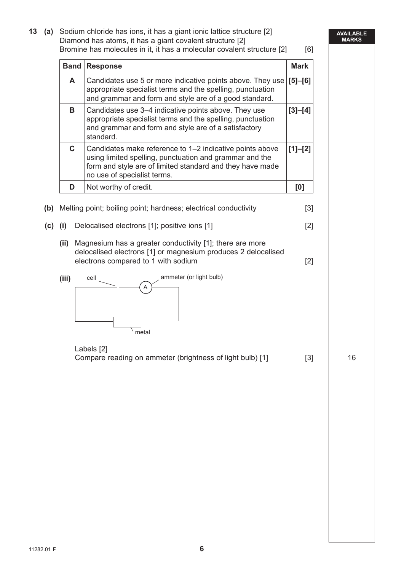**AVAILABLE MARKS 13 (a)** Sodium chloride has ions, it has a giant ionic lattice structure [2] Diamond has atoms, it has a giant covalent structure [2] Bromine has molecules in it, it has a molecular covalent structure [2] [6] **Band Response Mark** Mark **A** Candidates use 5 or more indicative points above. They use appropriate specialist terms and the spelling, punctuation and grammar and form and style are of a good standard. **[5]–[6] B** Candidates use 3–4 indicative points above. They use appropriate specialist terms and the spelling, punctuation and grammar and form and style are of a satisfactory standard. **[3]–[4] C** Candidates make reference to 1–2 indicative points above using limited spelling, punctuation and grammar and the form and style are of limited standard and they have made no use of specialist terms. **[1]–[2] D** Not worthy of credit. **I D**  $\begin{bmatrix} 0 \end{bmatrix}$ **(b)** Melting point; boiling point; hardness; electrical conductivity [3] **(c) (i)** Delocalised electrons [1]; positive ions [1] [2] **(ii)** Magnesium has a greater conductivity [1]; there are more delocalised electrons [1] or magnesium produces 2 delocalised electrons compared to 1 with sodium and the state of  $[2]$  **(iii)**  A cell metal ammeter (or light bulb) Labels [2] Compare reading on ammeter (brightness of light bulb) [1] [3] 16